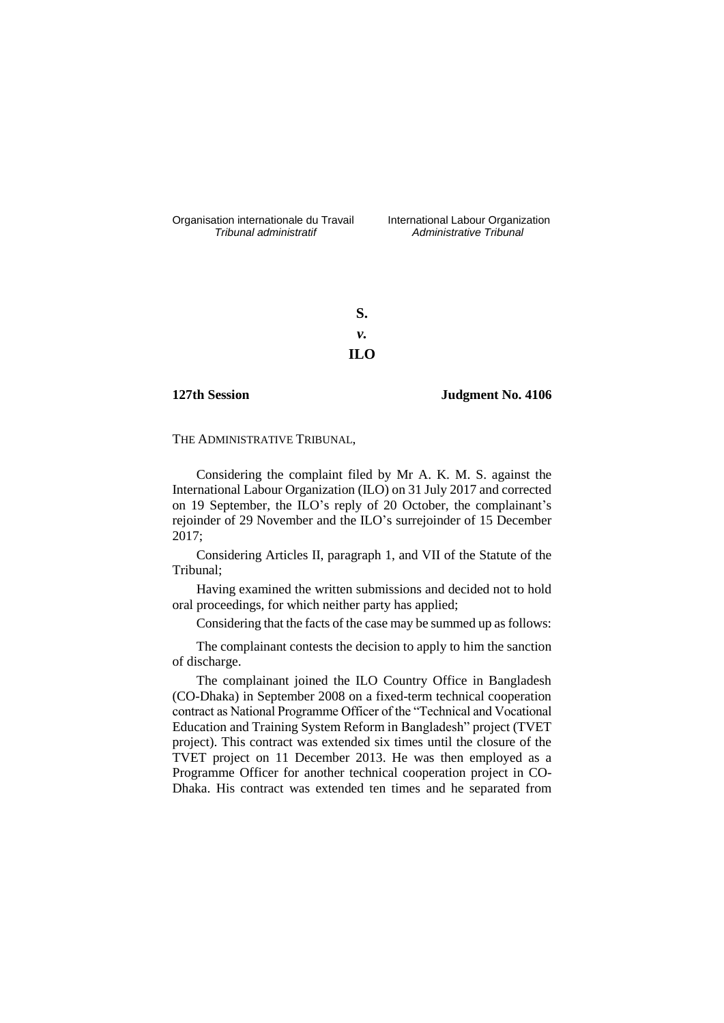Organisation internationale du Travail International Labour Organization<br>*Tribunal administratif Administrative Tribunal* 

*Tribunal administratif Administrative Tribunal*

**S.** *v.* **ILO**

**127th Session Judgment No. 4106**

THE ADMINISTRATIVE TRIBUNAL,

Considering the complaint filed by Mr A. K. M. S. against the International Labour Organization (ILO) on 31 July 2017 and corrected on 19 September, the ILO's reply of 20 October, the complainant's rejoinder of 29 November and the ILO's surrejoinder of 15 December 2017;

Considering Articles II, paragraph 1, and VII of the Statute of the Tribunal;

Having examined the written submissions and decided not to hold oral proceedings, for which neither party has applied;

Considering that the facts of the case may be summed up as follows:

The complainant contests the decision to apply to him the sanction of discharge.

The complainant joined the ILO Country Office in Bangladesh (CO-Dhaka) in September 2008 on a fixed-term technical cooperation contract as National Programme Officer of the "Technical and Vocational Education and Training System Reform in Bangladesh" project (TVET project). This contract was extended six times until the closure of the TVET project on 11 December 2013. He was then employed as a Programme Officer for another technical cooperation project in CO-Dhaka. His contract was extended ten times and he separated from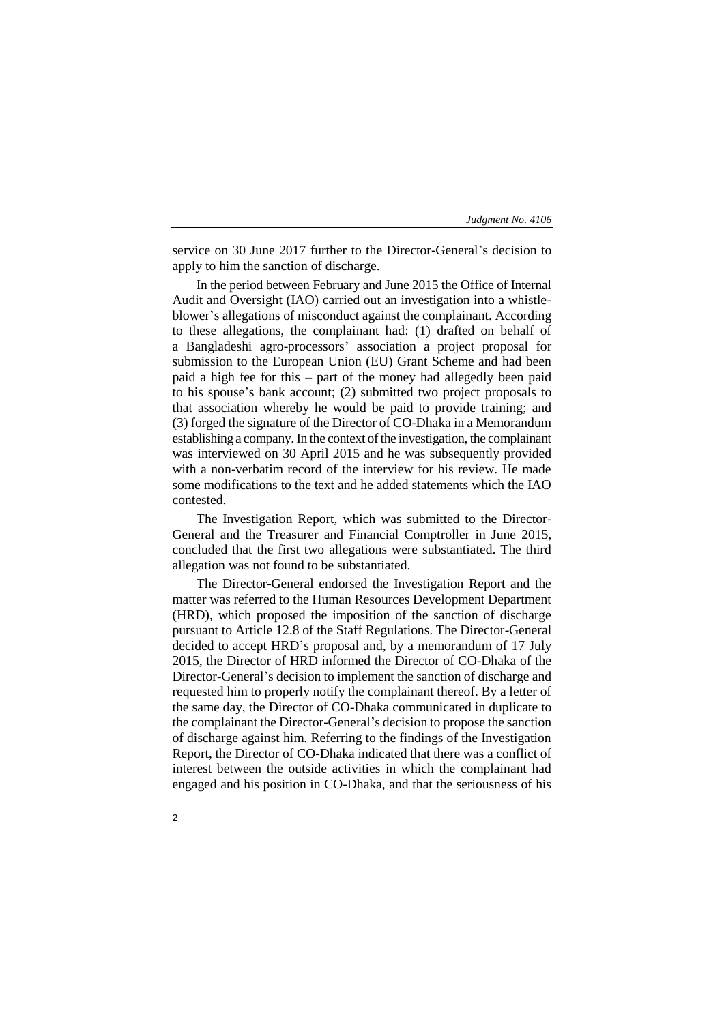service on 30 June 2017 further to the Director-General's decision to apply to him the sanction of discharge.

In the period between February and June 2015 the Office of Internal Audit and Oversight (IAO) carried out an investigation into a whistleblower's allegations of misconduct against the complainant. According to these allegations, the complainant had: (1) drafted on behalf of a Bangladeshi agro-processors' association a project proposal for submission to the European Union (EU) Grant Scheme and had been paid a high fee for this – part of the money had allegedly been paid to his spouse's bank account; (2) submitted two project proposals to that association whereby he would be paid to provide training; and (3) forged the signature of the Director of CO-Dhaka in a Memorandum establishing a company. In the context of the investigation, the complainant was interviewed on 30 April 2015 and he was subsequently provided with a non-verbatim record of the interview for his review. He made some modifications to the text and he added statements which the IAO contested.

The Investigation Report, which was submitted to the Director-General and the Treasurer and Financial Comptroller in June 2015, concluded that the first two allegations were substantiated. The third allegation was not found to be substantiated.

The Director-General endorsed the Investigation Report and the matter was referred to the Human Resources Development Department (HRD), which proposed the imposition of the sanction of discharge pursuant to Article 12.8 of the Staff Regulations. The Director-General decided to accept HRD's proposal and, by a memorandum of 17 July 2015, the Director of HRD informed the Director of CO-Dhaka of the Director-General's decision to implement the sanction of discharge and requested him to properly notify the complainant thereof. By a letter of the same day, the Director of CO-Dhaka communicated in duplicate to the complainant the Director-General's decision to propose the sanction of discharge against him. Referring to the findings of the Investigation Report, the Director of CO-Dhaka indicated that there was a conflict of interest between the outside activities in which the complainant had engaged and his position in CO-Dhaka, and that the seriousness of his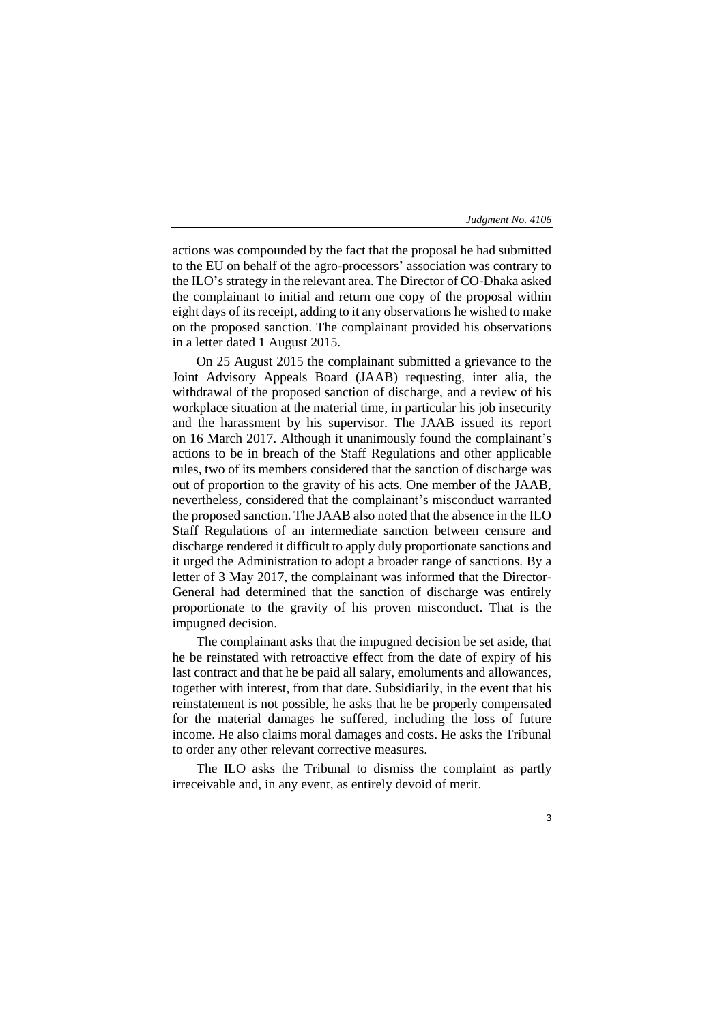actions was compounded by the fact that the proposal he had submitted to the EU on behalf of the agro-processors' association was contrary to the ILO's strategy in the relevant area. The Director of CO-Dhaka asked the complainant to initial and return one copy of the proposal within eight days of its receipt, adding to it any observations he wished to make on the proposed sanction. The complainant provided his observations in a letter dated 1 August 2015.

On 25 August 2015 the complainant submitted a grievance to the Joint Advisory Appeals Board (JAAB) requesting, inter alia, the withdrawal of the proposed sanction of discharge, and a review of his workplace situation at the material time, in particular his job insecurity and the harassment by his supervisor. The JAAB issued its report on 16 March 2017. Although it unanimously found the complainant's actions to be in breach of the Staff Regulations and other applicable rules, two of its members considered that the sanction of discharge was out of proportion to the gravity of his acts. One member of the JAAB, nevertheless, considered that the complainant's misconduct warranted the proposed sanction. The JAAB also noted that the absence in the ILO Staff Regulations of an intermediate sanction between censure and discharge rendered it difficult to apply duly proportionate sanctions and it urged the Administration to adopt a broader range of sanctions. By a letter of 3 May 2017, the complainant was informed that the Director-General had determined that the sanction of discharge was entirely proportionate to the gravity of his proven misconduct. That is the impugned decision.

The complainant asks that the impugned decision be set aside, that he be reinstated with retroactive effect from the date of expiry of his last contract and that he be paid all salary, emoluments and allowances, together with interest, from that date. Subsidiarily, in the event that his reinstatement is not possible, he asks that he be properly compensated for the material damages he suffered, including the loss of future income. He also claims moral damages and costs. He asks the Tribunal to order any other relevant corrective measures.

The ILO asks the Tribunal to dismiss the complaint as partly irreceivable and, in any event, as entirely devoid of merit.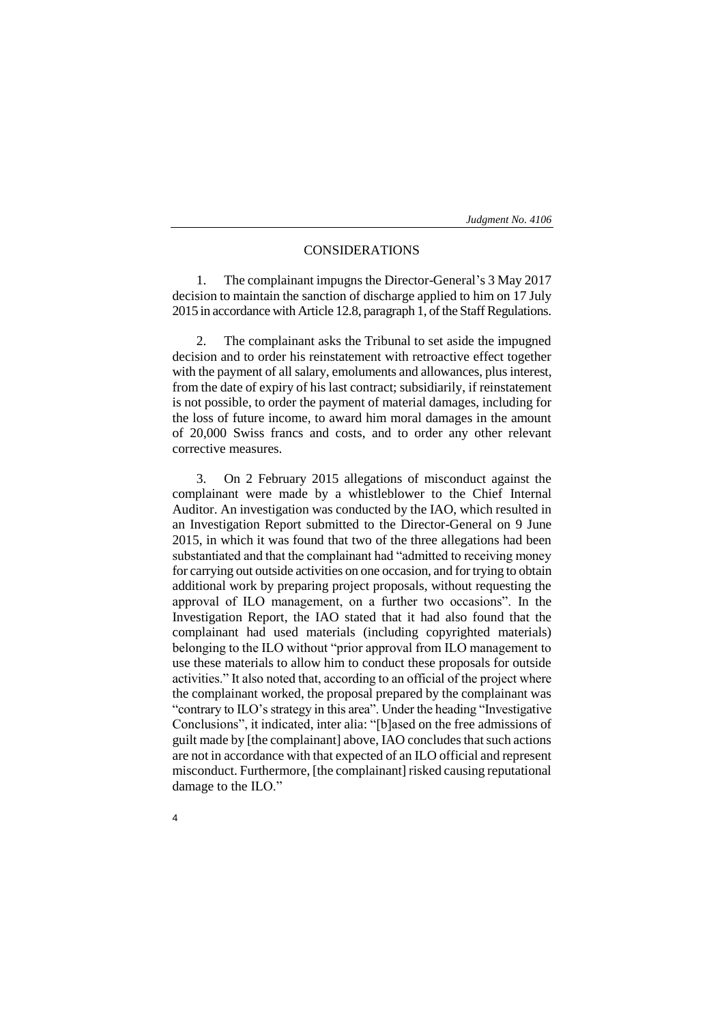# CONSIDERATIONS

1. The complainant impugns the Director-General's 3 May 2017 decision to maintain the sanction of discharge applied to him on 17 July 2015 in accordance with Article 12.8, paragraph 1, of the Staff Regulations.

2. The complainant asks the Tribunal to set aside the impugned decision and to order his reinstatement with retroactive effect together with the payment of all salary, emoluments and allowances, plus interest, from the date of expiry of his last contract; subsidiarily, if reinstatement is not possible, to order the payment of material damages, including for the loss of future income, to award him moral damages in the amount of 20,000 Swiss francs and costs, and to order any other relevant corrective measures.

3. On 2 February 2015 allegations of misconduct against the complainant were made by a whistleblower to the Chief Internal Auditor. An investigation was conducted by the IAO, which resulted in an Investigation Report submitted to the Director-General on 9 June 2015, in which it was found that two of the three allegations had been substantiated and that the complainant had "admitted to receiving money for carrying out outside activities on one occasion, and for trying to obtain additional work by preparing project proposals, without requesting the approval of ILO management, on a further two occasions". In the Investigation Report, the IAO stated that it had also found that the complainant had used materials (including copyrighted materials) belonging to the ILO without "prior approval from ILO management to use these materials to allow him to conduct these proposals for outside activities." It also noted that, according to an official of the project where the complainant worked, the proposal prepared by the complainant was "contrary to ILO's strategy in this area". Under the heading "Investigative Conclusions", it indicated, inter alia: "[b]ased on the free admissions of guilt made by [the complainant] above, IAO concludes that such actions are not in accordance with that expected of an ILO official and represent misconduct. Furthermore, [the complainant] risked causing reputational damage to the ILO."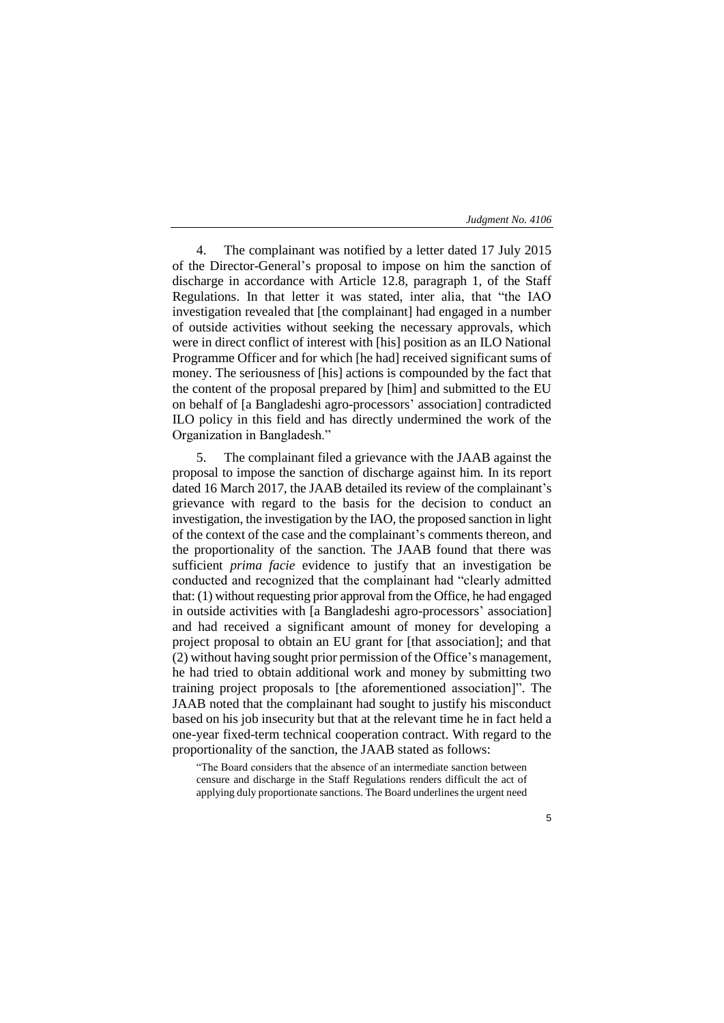4. The complainant was notified by a letter dated 17 July 2015 of the Director-General's proposal to impose on him the sanction of discharge in accordance with Article 12.8, paragraph 1, of the Staff Regulations. In that letter it was stated, inter alia, that "the IAO investigation revealed that [the complainant] had engaged in a number of outside activities without seeking the necessary approvals, which were in direct conflict of interest with [his] position as an ILO National Programme Officer and for which [he had] received significant sums of money. The seriousness of [his] actions is compounded by the fact that the content of the proposal prepared by [him] and submitted to the EU on behalf of [a Bangladeshi agro-processors' association] contradicted ILO policy in this field and has directly undermined the work of the Organization in Bangladesh."

5. The complainant filed a grievance with the JAAB against the proposal to impose the sanction of discharge against him. In its report dated 16 March 2017, the JAAB detailed its review of the complainant's grievance with regard to the basis for the decision to conduct an investigation, the investigation by the IAO, the proposed sanction in light of the context of the case and the complainant's comments thereon, and the proportionality of the sanction. The JAAB found that there was sufficient *prima facie* evidence to justify that an investigation be conducted and recognized that the complainant had "clearly admitted that: (1) without requesting prior approval from the Office, he had engaged in outside activities with [a Bangladeshi agro-processors' association] and had received a significant amount of money for developing a project proposal to obtain an EU grant for [that association]; and that (2) without having sought prior permission of the Office's management, he had tried to obtain additional work and money by submitting two training project proposals to [the aforementioned association]". The JAAB noted that the complainant had sought to justify his misconduct based on his job insecurity but that at the relevant time he in fact held a one-year fixed-term technical cooperation contract. With regard to the proportionality of the sanction, the JAAB stated as follows:

"The Board considers that the absence of an intermediate sanction between censure and discharge in the Staff Regulations renders difficult the act of applying duly proportionate sanctions. The Board underlines the urgent need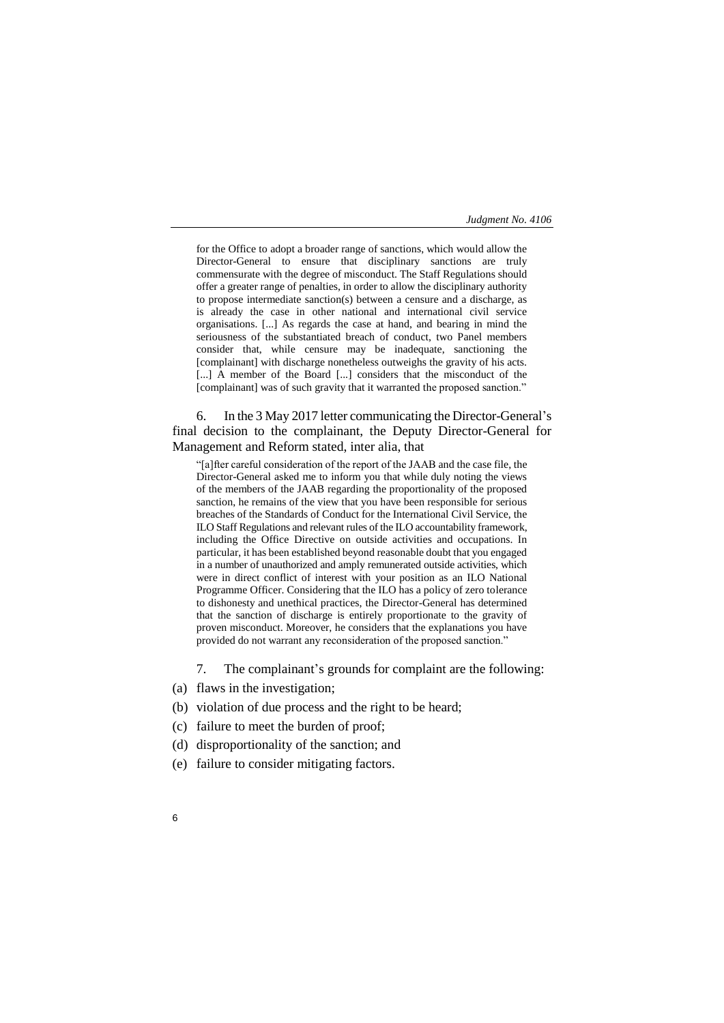for the Office to adopt a broader range of sanctions, which would allow the Director-General to ensure that disciplinary sanctions are truly commensurate with the degree of misconduct. The Staff Regulations should offer a greater range of penalties, in order to allow the disciplinary authority to propose intermediate sanction(s) between a censure and a discharge, as is already the case in other national and international civil service organisations. [...] As regards the case at hand, and bearing in mind the seriousness of the substantiated breach of conduct, two Panel members consider that, while censure may be inadequate, sanctioning the [complainant] with discharge nonetheless outweighs the gravity of his acts. [...] A member of the Board [...] considers that the misconduct of the [complainant] was of such gravity that it warranted the proposed sanction."

6. In the 3 May 2017 letter communicating the Director-General's final decision to the complainant, the Deputy Director-General for Management and Reform stated, inter alia, that

"[a]fter careful consideration of the report of the JAAB and the case file, the Director-General asked me to inform you that while duly noting the views of the members of the JAAB regarding the proportionality of the proposed sanction, he remains of the view that you have been responsible for serious breaches of the Standards of Conduct for the International Civil Service, the ILO Staff Regulations and relevant rules of the ILO accountability framework, including the Office Directive on outside activities and occupations. In particular, it has been established beyond reasonable doubt that you engaged in a number of unauthorized and amply remunerated outside activities, which were in direct conflict of interest with your position as an ILO National Programme Officer. Considering that the ILO has a policy of zero tolerance to dishonesty and unethical practices, the Director-General has determined that the sanction of discharge is entirely proportionate to the gravity of proven misconduct. Moreover, he considers that the explanations you have provided do not warrant any reconsideration of the proposed sanction."

- 7. The complainant's grounds for complaint are the following:
- (a) flaws in the investigation;
- (b) violation of due process and the right to be heard;
- (c) failure to meet the burden of proof;
- (d) disproportionality of the sanction; and
- (e) failure to consider mitigating factors.
- 6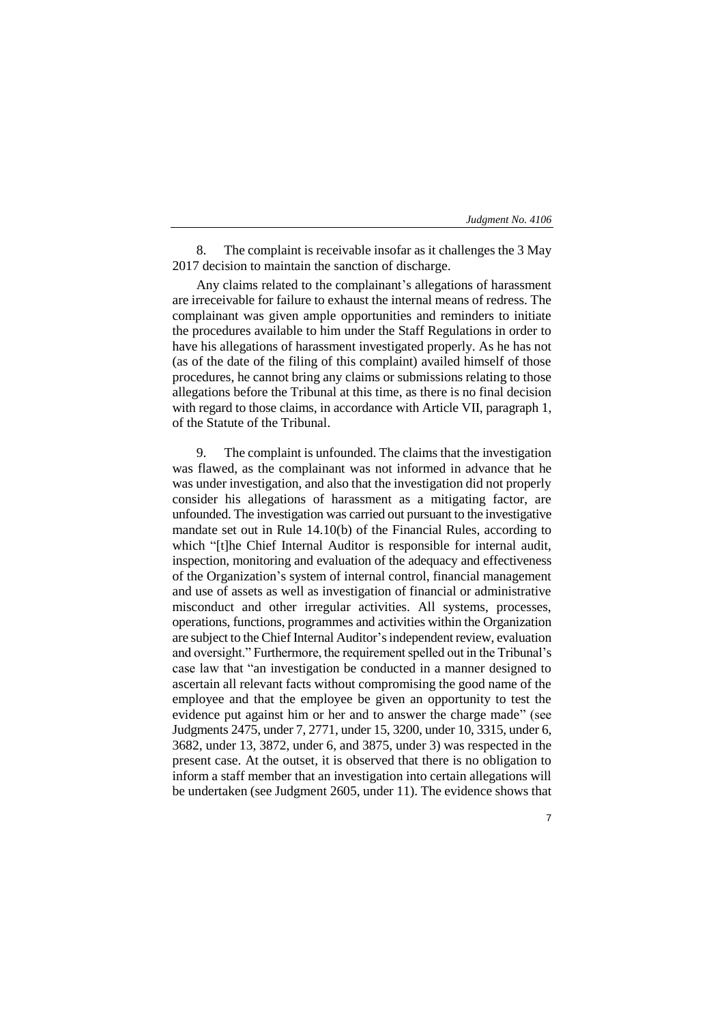8. The complaint is receivable insofar as it challenges the 3 May 2017 decision to maintain the sanction of discharge.

Any claims related to the complainant's allegations of harassment are irreceivable for failure to exhaust the internal means of redress. The complainant was given ample opportunities and reminders to initiate the procedures available to him under the Staff Regulations in order to have his allegations of harassment investigated properly. As he has not (as of the date of the filing of this complaint) availed himself of those procedures, he cannot bring any claims or submissions relating to those allegations before the Tribunal at this time, as there is no final decision with regard to those claims, in accordance with Article VII, paragraph 1, of the Statute of the Tribunal.

9. The complaint is unfounded. The claims that the investigation was flawed, as the complainant was not informed in advance that he was under investigation, and also that the investigation did not properly consider his allegations of harassment as a mitigating factor, are unfounded. The investigation was carried out pursuant to the investigative mandate set out in Rule 14.10(b) of the Financial Rules, according to which "[t]he Chief Internal Auditor is responsible for internal audit, inspection, monitoring and evaluation of the adequacy and effectiveness of the Organization's system of internal control, financial management and use of assets as well as investigation of financial or administrative misconduct and other irregular activities. All systems, processes, operations, functions, programmes and activities within the Organization are subject to the Chief Internal Auditor's independent review, evaluation and oversight." Furthermore, the requirement spelled out in the Tribunal's case law that "an investigation be conducted in a manner designed to ascertain all relevant facts without compromising the good name of the employee and that the employee be given an opportunity to test the evidence put against him or her and to answer the charge made" (see Judgments 2475, under 7, 2771, under 15, 3200, under 10, 3315, under 6, 3682, under 13, 3872, under 6, and 3875, under 3) was respected in the present case. At the outset, it is observed that there is no obligation to inform a staff member that an investigation into certain allegations will be undertaken (see Judgment 2605, under 11). The evidence shows that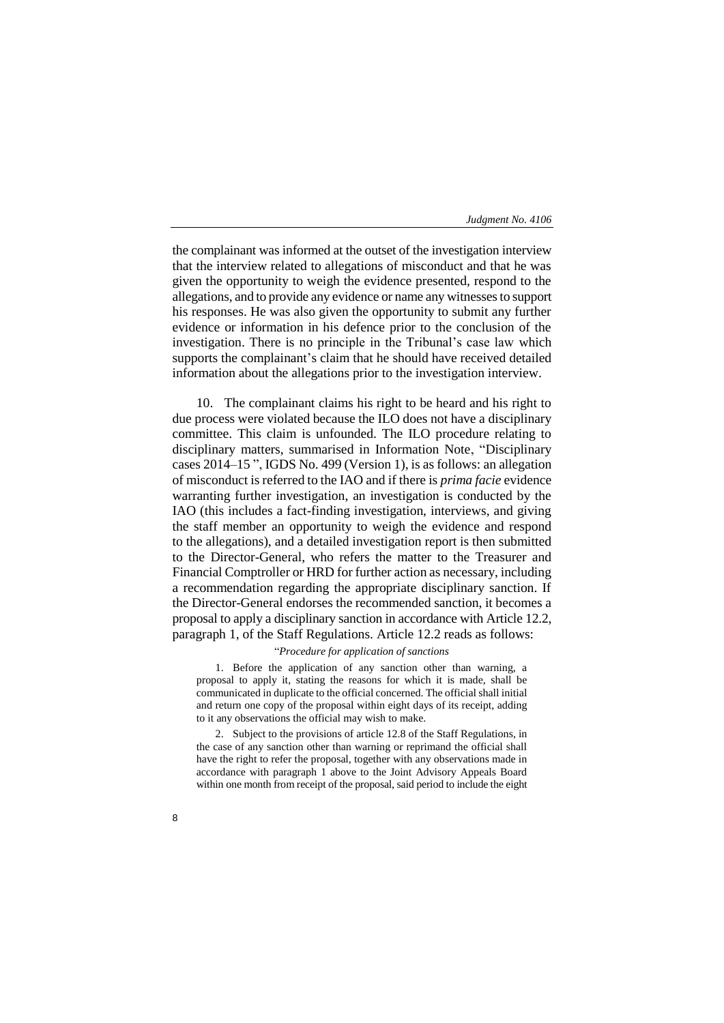the complainant was informed at the outset of the investigation interview that the interview related to allegations of misconduct and that he was given the opportunity to weigh the evidence presented, respond to the allegations, and to provide any evidence or name any witnesses to support his responses. He was also given the opportunity to submit any further evidence or information in his defence prior to the conclusion of the investigation. There is no principle in the Tribunal's case law which supports the complainant's claim that he should have received detailed information about the allegations prior to the investigation interview.

10. The complainant claims his right to be heard and his right to due process were violated because the ILO does not have a disciplinary committee. This claim is unfounded. The ILO procedure relating to disciplinary matters, summarised in Information Note, "Disciplinary cases 2014–15 ", IGDS No. 499 (Version 1), is as follows: an allegation of misconduct is referred to the IAO and if there is *prima facie* evidence warranting further investigation, an investigation is conducted by the IAO (this includes a fact-finding investigation, interviews, and giving the staff member an opportunity to weigh the evidence and respond to the allegations), and a detailed investigation report is then submitted to the Director-General, who refers the matter to the Treasurer and Financial Comptroller or HRD for further action as necessary, including a recommendation regarding the appropriate disciplinary sanction. If the Director-General endorses the recommended sanction, it becomes a proposal to apply a disciplinary sanction in accordance with Article 12.2, paragraph 1, of the Staff Regulations. Article 12.2 reads as follows:

# "*Procedure for application of sanctions*

1. Before the application of any sanction other than warning, a proposal to apply it, stating the reasons for which it is made, shall be communicated in duplicate to the official concerned. The official shall initial and return one copy of the proposal within eight days of its receipt, adding to it any observations the official may wish to make.

2. Subject to the provisions of article 12.8 of the Staff Regulations, in the case of any sanction other than warning or reprimand the official shall have the right to refer the proposal, together with any observations made in accordance with paragraph 1 above to the Joint Advisory Appeals Board within one month from receipt of the proposal, said period to include the eight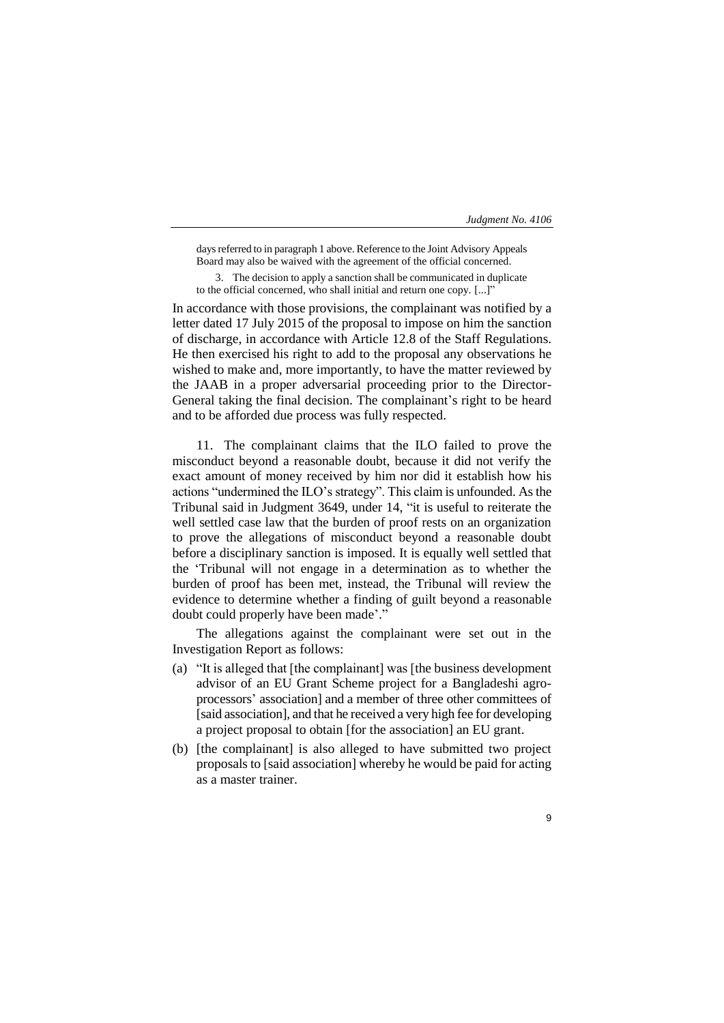days referred to in paragraph 1 above. Reference to the Joint Advisory Appeals Board may also be waived with the agreement of the official concerned.

3. The decision to apply a sanction shall be communicated in duplicate to the official concerned, who shall initial and return one copy. [...]"

In accordance with those provisions, the complainant was notified by a letter dated 17 July 2015 of the proposal to impose on him the sanction of discharge, in accordance with Article 12.8 of the Staff Regulations. He then exercised his right to add to the proposal any observations he wished to make and, more importantly, to have the matter reviewed by the JAAB in a proper adversarial proceeding prior to the Director-General taking the final decision. The complainant's right to be heard and to be afforded due process was fully respected.

11. The complainant claims that the ILO failed to prove the misconduct beyond a reasonable doubt, because it did not verify the exact amount of money received by him nor did it establish how his actions "undermined the ILO's strategy". This claim is unfounded. As the Tribunal said in Judgment 3649, under 14, "it is useful to reiterate the well settled case law that the burden of proof rests on an organization to prove the allegations of misconduct beyond a reasonable doubt before a disciplinary sanction is imposed. It is equally well settled that the 'Tribunal will not engage in a determination as to whether the burden of proof has been met, instead, the Tribunal will review the evidence to determine whether a finding of guilt beyond a reasonable doubt could properly have been made'."

The allegations against the complainant were set out in the Investigation Report as follows:

- (a) "It is alleged that [the complainant] was [the business development advisor of an EU Grant Scheme project for a Bangladeshi agroprocessors' association] and a member of three other committees of [said association], and that he received a very high fee for developing a project proposal to obtain [for the association] an EU grant.
- (b) [the complainant] is also alleged to have submitted two project proposals to [said association] whereby he would be paid for acting as a master trainer.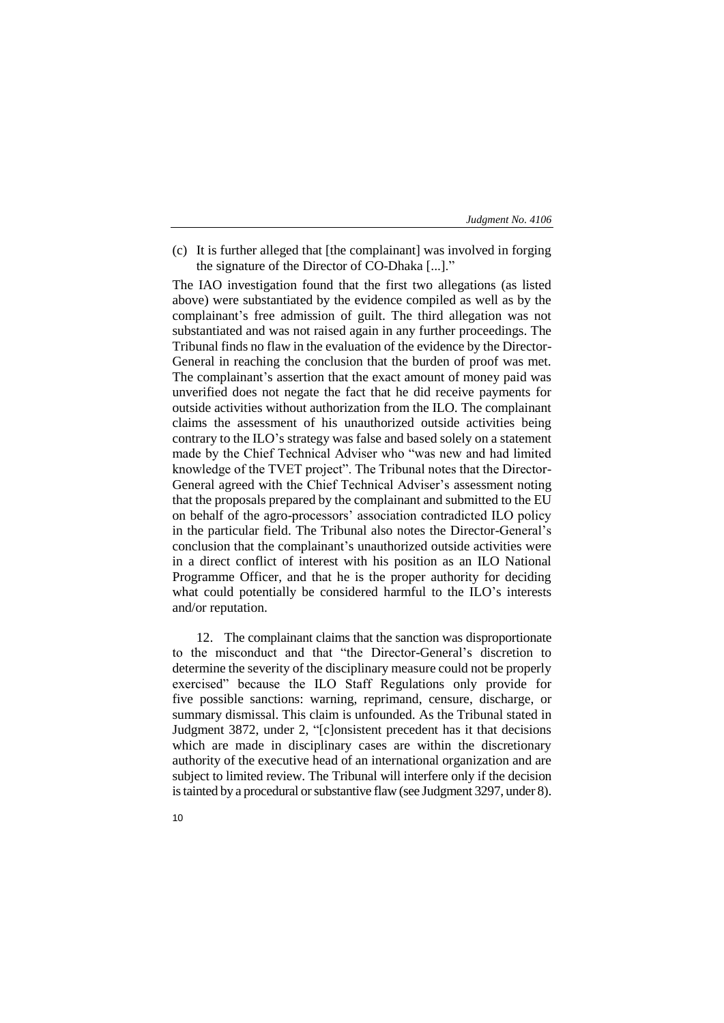(c) It is further alleged that [the complainant] was involved in forging the signature of the Director of CO-Dhaka [...]."

The IAO investigation found that the first two allegations (as listed above) were substantiated by the evidence compiled as well as by the complainant's free admission of guilt. The third allegation was not substantiated and was not raised again in any further proceedings. The Tribunal finds no flaw in the evaluation of the evidence by the Director-General in reaching the conclusion that the burden of proof was met. The complainant's assertion that the exact amount of money paid was unverified does not negate the fact that he did receive payments for outside activities without authorization from the ILO. The complainant claims the assessment of his unauthorized outside activities being contrary to the ILO's strategy was false and based solely on a statement made by the Chief Technical Adviser who "was new and had limited knowledge of the TVET project". The Tribunal notes that the Director-General agreed with the Chief Technical Adviser's assessment noting that the proposals prepared by the complainant and submitted to the EU on behalf of the agro-processors' association contradicted ILO policy in the particular field. The Tribunal also notes the Director-General's conclusion that the complainant's unauthorized outside activities were in a direct conflict of interest with his position as an ILO National Programme Officer, and that he is the proper authority for deciding what could potentially be considered harmful to the ILO's interests and/or reputation.

12. The complainant claims that the sanction was disproportionate to the misconduct and that "the Director-General's discretion to determine the severity of the disciplinary measure could not be properly exercised" because the ILO Staff Regulations only provide for five possible sanctions: warning, reprimand, censure, discharge, or summary dismissal. This claim is unfounded. As the Tribunal stated in Judgment 3872, under 2, "[c]onsistent precedent has it that decisions which are made in disciplinary cases are within the discretionary authority of the executive head of an international organization and are subject to limited review. The Tribunal will interfere only if the decision is tainted by a procedural or substantive flaw (see Judgment 3297, under 8).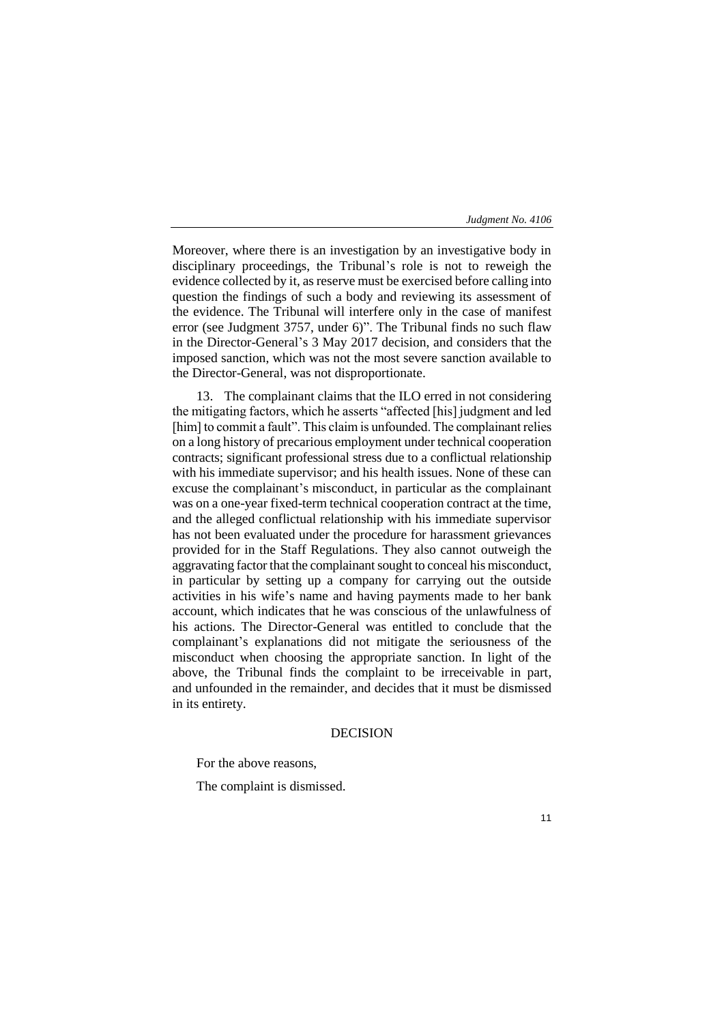Moreover, where there is an investigation by an investigative body in disciplinary proceedings, the Tribunal's role is not to reweigh the evidence collected by it, as reserve must be exercised before calling into question the findings of such a body and reviewing its assessment of the evidence. The Tribunal will interfere only in the case of manifest error (see Judgment 3757, under 6)". The Tribunal finds no such flaw in the Director-General's 3 May 2017 decision, and considers that the imposed sanction, which was not the most severe sanction available to the Director-General, was not disproportionate.

13. The complainant claims that the ILO erred in not considering the mitigating factors, which he asserts "affected [his] judgment and led [him] to commit a fault". This claim is unfounded. The complainant relies on a long history of precarious employment under technical cooperation contracts; significant professional stress due to a conflictual relationship with his immediate supervisor; and his health issues. None of these can excuse the complainant's misconduct, in particular as the complainant was on a one-year fixed-term technical cooperation contract at the time, and the alleged conflictual relationship with his immediate supervisor has not been evaluated under the procedure for harassment grievances provided for in the Staff Regulations. They also cannot outweigh the aggravating factor that the complainant sought to conceal his misconduct, in particular by setting up a company for carrying out the outside activities in his wife's name and having payments made to her bank account, which indicates that he was conscious of the unlawfulness of his actions. The Director-General was entitled to conclude that the complainant's explanations did not mitigate the seriousness of the misconduct when choosing the appropriate sanction. In light of the above, the Tribunal finds the complaint to be irreceivable in part, and unfounded in the remainder, and decides that it must be dismissed in its entirety.

# DECISION

For the above reasons,

The complaint is dismissed.